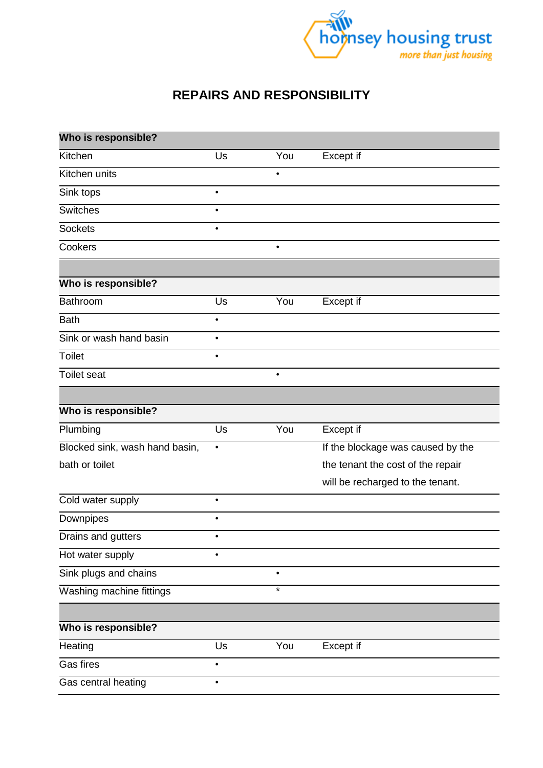

## **REPAIRS AND RESPONSIBILITY**

| Who is responsible?            |           |           |                                   |
|--------------------------------|-----------|-----------|-----------------------------------|
| Kitchen                        | Us        | You       | Except if                         |
| Kitchen units                  |           | $\bullet$ |                                   |
| Sink tops                      | $\bullet$ |           |                                   |
| <b>Switches</b>                | $\bullet$ |           |                                   |
| <b>Sockets</b>                 | $\bullet$ |           |                                   |
| Cookers                        |           | $\bullet$ |                                   |
|                                |           |           |                                   |
| Who is responsible?            |           |           |                                   |
| Bathroom                       | Us        | You       | Except if                         |
| <b>Bath</b>                    | $\bullet$ |           |                                   |
| Sink or wash hand basin        | $\bullet$ |           |                                   |
| Toilet                         | $\bullet$ |           |                                   |
| Toilet seat                    |           | $\bullet$ |                                   |
|                                |           |           |                                   |
| Who is responsible?            |           |           |                                   |
| Plumbing                       | Us        | You       | Except if                         |
| Blocked sink, wash hand basin, | $\bullet$ |           | If the blockage was caused by the |
| bath or toilet                 |           |           | the tenant the cost of the repair |
|                                |           |           | will be recharged to the tenant.  |
| Cold water supply              | $\bullet$ |           |                                   |
| Downpipes                      | $\bullet$ |           |                                   |
| Drains and gutters             | ٠         |           |                                   |
| Hot water supply               | $\bullet$ |           |                                   |
| Sink plugs and chains          |           | $\bullet$ |                                   |
| Washing machine fittings       |           | $\star$   |                                   |
|                                |           |           |                                   |
| Who is responsible?            |           |           |                                   |
| Heating                        | Us        | You       | Except if                         |
| Gas fires                      | $\bullet$ |           |                                   |
| Gas central heating            | $\bullet$ |           |                                   |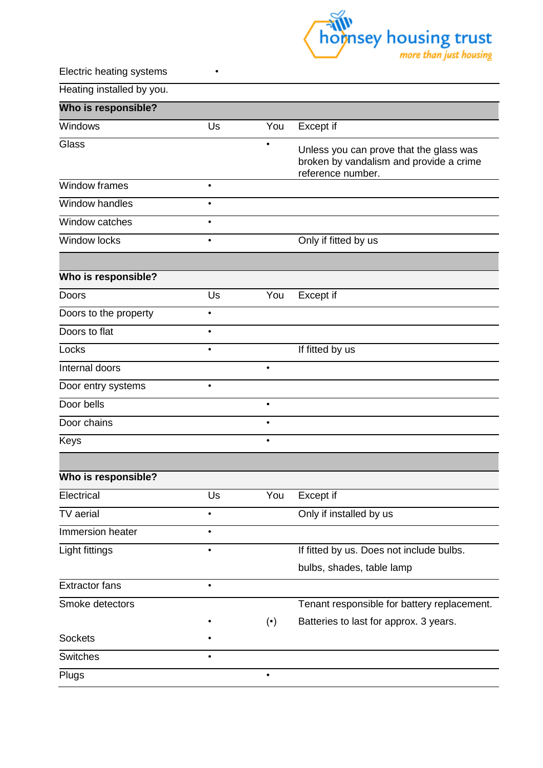

Electric heating systems •

Heating installed by you.

| Who is responsible?   |           |                        |                                                                                                         |
|-----------------------|-----------|------------------------|---------------------------------------------------------------------------------------------------------|
| Windows               | Us        | You                    | Except if                                                                                               |
| Glass                 |           |                        | Unless you can prove that the glass was<br>broken by vandalism and provide a crime<br>reference number. |
| Window frames         | $\bullet$ |                        |                                                                                                         |
| Window handles        |           |                        |                                                                                                         |
| Window catches        | $\bullet$ |                        |                                                                                                         |
| Window locks          | $\bullet$ |                        | Only if fitted by us                                                                                    |
|                       |           |                        |                                                                                                         |
| Who is responsible?   |           |                        |                                                                                                         |
| Doors                 | Us        | You                    | Except if                                                                                               |
| Doors to the property | $\bullet$ |                        |                                                                                                         |
| Doors to flat         | $\bullet$ |                        |                                                                                                         |
| Locks                 | $\bullet$ |                        | If fitted by us                                                                                         |
| Internal doors        |           | $\bullet$              |                                                                                                         |
| Door entry systems    | $\bullet$ |                        |                                                                                                         |
| Door bells            |           | $\bullet$              |                                                                                                         |
| Door chains           |           | $\bullet$              |                                                                                                         |
| Keys                  |           | $\bullet$              |                                                                                                         |
|                       |           |                        |                                                                                                         |
| Who is responsible?   |           |                        |                                                                                                         |
| Electrical            | Us        | You                    | Except if                                                                                               |
| TV aerial             | $\bullet$ |                        | Only if installed by us                                                                                 |
| Immersion heater      |           |                        |                                                                                                         |
| Light fittings        | $\bullet$ |                        | If fitted by us. Does not include bulbs.                                                                |
|                       |           |                        | bulbs, shades, table lamp                                                                               |
| <b>Extractor fans</b> | $\bullet$ |                        |                                                                                                         |
| Smoke detectors       |           |                        | Tenant responsible for battery replacement.                                                             |
|                       |           | $(\boldsymbol{\cdot})$ | Batteries to last for approx. 3 years.                                                                  |
| <b>Sockets</b>        |           |                        |                                                                                                         |
| <b>Switches</b>       | $\bullet$ |                        |                                                                                                         |
| Plugs                 |           |                        |                                                                                                         |